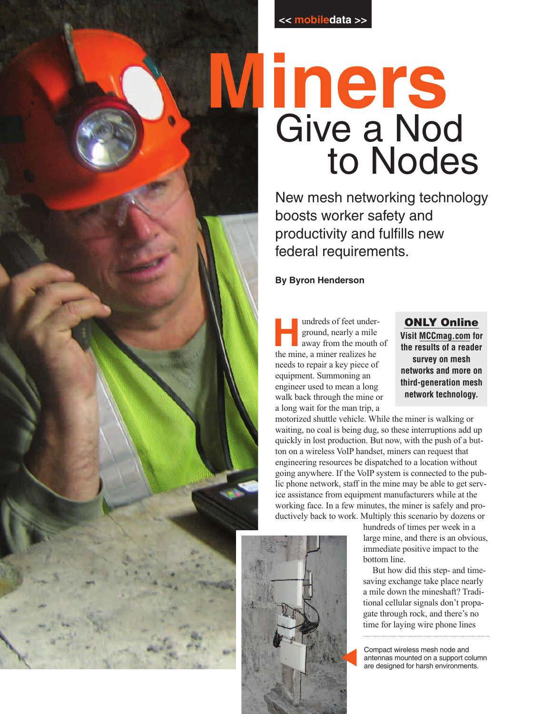

# **Miners** Give a Nod to Nodes

New mesh networking technology boosts worker safety and productivity and fulfills new federal requirements.

### **By Byron Henderson**

undreds of feet under-<br>ground, nearly a mile<br>away from the mouth of<br>the mine a miner realizes be ground, nearly a mile the mine, a miner realizes he needs to repair a key piece of equipment. Summoning an engineer used to mean a long walk back through the mine or a long wait for the man trip, a

**ONLY Online Visit MCCmag.com for the results of a reader survey on mesh networks and more on third-generation mesh network technology.**

motorized shuttle vehicle. While the miner is walking or waiting, no coal is being dug, so these interruptions add up quickly in lost production. But now, with the push of a button on a wireless VoIP handset, miners can request that engineering resources be dispatched to a location without going anywhere. If the VoIP system is connected to the public phone network, staff in the mine may be able to get service assistance from equipment manufacturers while at the working face. In a few minutes, the miner is safely and productively back to work. Multiply this scenario by dozens or



hundreds of times per week in a large mine, and there is an obvious, immediate positive impact to the bottom line.

But how did this step- and timesaving exchange take place nearly a mile down the mineshaft? Traditional cellular signals don't propagate through rock, and there's no time for laying wire phone lines

Compact wireless mesh node and antennas mounted on a support column are designed for harsh environments.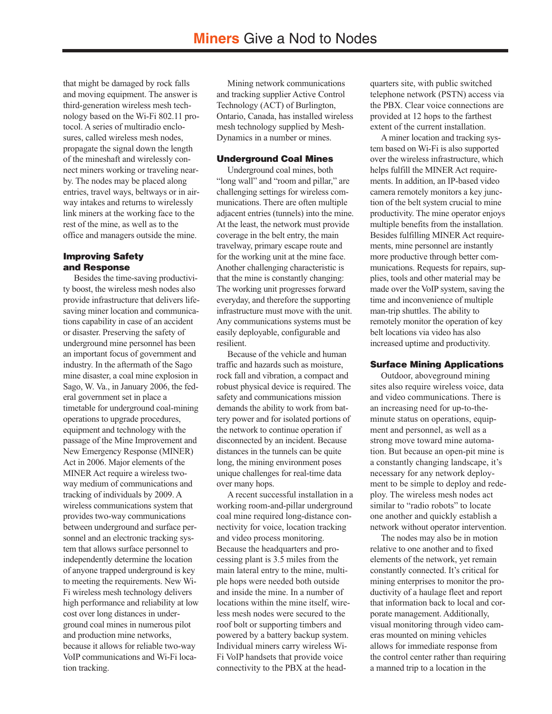that might be damaged by rock falls and moving equipment. The answer is third-generation wireless mesh technology based on the Wi-Fi 802.11 protocol. A series of multiradio enclosures, called wireless mesh nodes, propagate the signal down the length of the mineshaft and wirelessly connect miners working or traveling nearby. The nodes may be placed along entries, travel ways, beltways or in airway intakes and returns to wirelessly link miners at the working face to the rest of the mine, as well as to the office and managers outside the mine.

#### **Improving Safety and Response**

Besides the time-saving productivity boost, the wireless mesh nodes also provide infrastructure that delivers lifesaving miner location and communications capability in case of an accident or disaster. Preserving the safety of underground mine personnel has been an important focus of government and industry. In the aftermath of the Sago mine disaster, a coal mine explosion in Sago, W. Va., in January 2006, the federal government set in place a timetable for underground coal-mining operations to upgrade procedures, equipment and technology with the passage of the Mine Improvement and New Emergency Response (MINER) Act in 2006. Major elements of the MINER Act require a wireless twoway medium of communications and tracking of individuals by 2009. A wireless communications system that provides two-way communications between underground and surface personnel and an electronic tracking system that allows surface personnel to independently determine the location of anyone trapped underground is key to meeting the requirements. New Wi-Fi wireless mesh technology delivers high performance and reliability at low cost over long distances in underground coal mines in numerous pilot and production mine networks, because it allows for reliable two-way VoIP communications and Wi-Fi location tracking.

Mining network communications and tracking supplier Active Control Technology (ACT) of Burlington, Ontario, Canada, has installed wireless mesh technology supplied by Mesh-Dynamics in a number or mines.

#### **Underground Coal Mines**

Underground coal mines, both "long wall" and "room and pillar," are challenging settings for wireless communications. There are often multiple adjacent entries (tunnels) into the mine. At the least, the network must provide coverage in the belt entry, the main travelway, primary escape route and for the working unit at the mine face. Another challenging characteristic is that the mine is constantly changing: The working unit progresses forward everyday, and therefore the supporting infrastructure must move with the unit. Any communications systems must be easily deployable, configurable and resilient.

Because of the vehicle and human traffic and hazards such as moisture, rock fall and vibration, a compact and robust physical device is required. The safety and communications mission demands the ability to work from battery power and for isolated portions of the network to continue operation if disconnected by an incident. Because distances in the tunnels can be quite long, the mining environment poses unique challenges for real-time data over many hops.

A recent successful installation in a working room-and-pillar underground coal mine required long-distance connectivity for voice, location tracking and video process monitoring. Because the headquarters and processing plant is 3.5 miles from the main lateral entry to the mine, multiple hops were needed both outside and inside the mine. In a number of locations within the mine itself, wireless mesh nodes were secured to the roof bolt or supporting timbers and powered by a battery backup system. Individual miners carry wireless Wi-Fi VoIP handsets that provide voice connectivity to the PBX at the headquarters site, with public switched telephone network (PSTN) access via the PBX. Clear voice connections are provided at 12 hops to the farthest extent of the current installation.

A miner location and tracking system based on Wi-Fi is also supported over the wireless infrastructure, which helps fulfill the MINER Act requirements. In addition, an IP-based video camera remotely monitors a key junction of the belt system crucial to mine productivity. The mine operator enjoys multiple benefits from the installation. Besides fulfilling MINER Act requirements, mine personnel are instantly more productive through better communications. Requests for repairs, supplies, tools and other material may be made over the VoIP system, saving the time and inconvenience of multiple man-trip shuttles. The ability to remotely monitor the operation of key belt locations via video has also increased uptime and productivity.

#### **Surface Mining Applications**

Outdoor, aboveground mining sites also require wireless voice, data and video communications. There is an increasing need for up-to-theminute status on operations, equipment and personnel, as well as a strong move toward mine automation. But because an open-pit mine is a constantly changing landscape, it's necessary for any network deployment to be simple to deploy and redeploy. The wireless mesh nodes act similar to "radio robots" to locate one another and quickly establish a network without operator intervention.

The nodes may also be in motion relative to one another and to fixed elements of the network, yet remain constantly connected. It's critical for mining enterprises to monitor the productivity of a haulage fleet and report that information back to local and corporate management. Additionally, visual monitoring through video cameras mounted on mining vehicles allows for immediate response from the control center rather than requiring a manned trip to a location in the